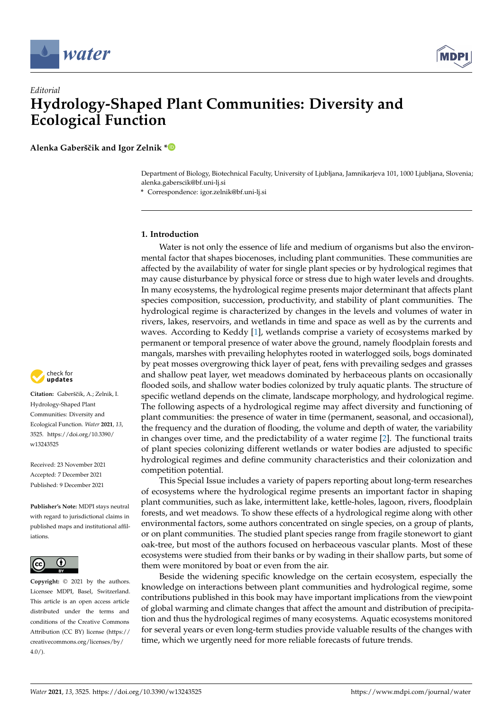



# *Editorial* **Hydrology-Shaped Plant Communities: Diversity and Ecological Function**

**Alenka Gaberšˇcik and Igor Zelnik [\\*](https://orcid.org/0000-0002-8497-2661)**

Department of Biology, Biotechnical Faculty, University of Ljubljana, Jamnikarjeva 101, 1000 Ljubljana, Slovenia; alenka.gaberscik@bf.uni-lj.si

**\*** Correspondence: igor.zelnik@bf.uni-lj.si

# **1. Introduction**

Water is not only the essence of life and medium of organisms but also the environmental factor that shapes biocenoses, including plant communities. These communities are affected by the availability of water for single plant species or by hydrological regimes that may cause disturbance by physical force or stress due to high water levels and droughts. In many ecosystems, the hydrological regime presents major determinant that affects plant species composition, succession, productivity, and stability of plant communities. The hydrological regime is characterized by changes in the levels and volumes of water in rivers, lakes, reservoirs, and wetlands in time and space as well as by the currents and waves. According to Keddy [\[1\]](#page-4-0), wetlands comprise a variety of ecosystems marked by permanent or temporal presence of water above the ground, namely floodplain forests and mangals, marshes with prevailing helophytes rooted in waterlogged soils, bogs dominated by peat mosses overgrowing thick layer of peat, fens with prevailing sedges and grasses and shallow peat layer, wet meadows dominated by herbaceous plants on occasionally flooded soils, and shallow water bodies colonized by truly aquatic plants. The structure of specific wetland depends on the climate, landscape morphology, and hydrological regime. The following aspects of a hydrological regime may affect diversity and functioning of plant communities: the presence of water in time (permanent, seasonal, and occasional), the frequency and the duration of flooding, the volume and depth of water, the variability in changes over time, and the predictability of a water regime [\[2\]](#page-4-1). The functional traits of plant species colonizing different wetlands or water bodies are adjusted to specific hydrological regimes and define community characteristics and their colonization and competition potential.

This Special Issue includes a variety of papers reporting about long-term researches of ecosystems where the hydrological regime presents an important factor in shaping plant communities, such as lake, intermittent lake, kettle-holes, lagoon, rivers, floodplain forests, and wet meadows. To show these effects of a hydrological regime along with other environmental factors, some authors concentrated on single species, on a group of plants, or on plant communities. The studied plant species range from fragile stonewort to giant oak-tree, but most of the authors focused on herbaceous vascular plants. Most of these ecosystems were studied from their banks or by wading in their shallow parts, but some of them were monitored by boat or even from the air.

Beside the widening specific knowledge on the certain ecosystem, especially the knowledge on interactions between plant communities and hydrological regime, some contributions published in this book may have important implications from the viewpoint of global warming and climate changes that affect the amount and distribution of precipitation and thus the hydrological regimes of many ecosystems. Aquatic ecosystems monitored for several years or even long-term studies provide valuable results of the changes with time, which we urgently need for more reliable forecasts of future trends.



Citation: Gaberščik, A.; Zelnik, I. Hydrology-Shaped Plant Communities: Diversity and Ecological Function. *Water* **2021**, *13*, 3525. [https://doi.org/10.3390/](https://doi.org/10.3390/w13243525) [w13243525](https://doi.org/10.3390/w13243525)

Received: 23 November 2021 Accepted: 7 December 2021 Published: 9 December 2021

**Publisher's Note:** MDPI stays neutral with regard to jurisdictional claims in published maps and institutional affiliations.



**Copyright:** © 2021 by the authors. Licensee MDPI, Basel, Switzerland. This article is an open access article distributed under the terms and conditions of the Creative Commons Attribution (CC BY) license (https:/[/](https://creativecommons.org/licenses/by/4.0/) [creativecommons.org/licenses/by/](https://creativecommons.org/licenses/by/4.0/)  $4.0/$ ).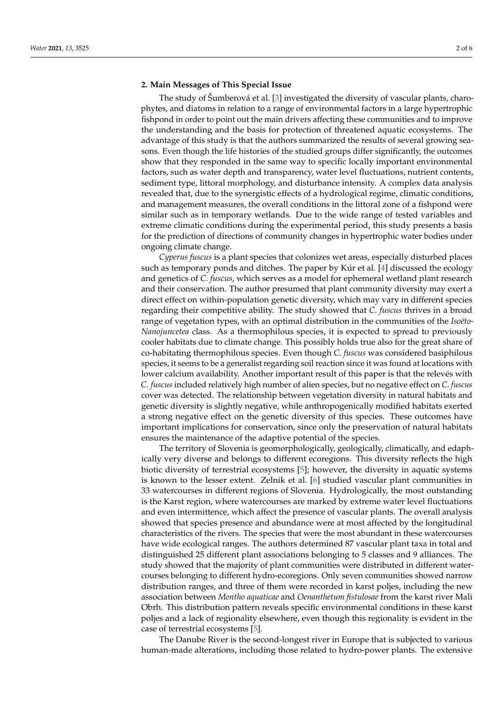#### **2. Main Messages of This Special Issue**

The study of Šumberová et al. [\[3\]](#page-4-2) investigated the diversity of vascular plants, charophytes, and diatoms in relation to a range of environmental factors in a large hypertrophic fishpond in order to point out the main drivers affecting these communities and to improve the understanding and the basis for protection of threatened aquatic ecosystems. The advantage of this study is that the authors summarized the results of several growing seasons. Even though the life histories of the studied groups differ significantly, the outcomes show that they responded in the same way to specific locally important environmental factors, such as water depth and transparency, water level fluctuations, nutrient contents, sediment type, littoral morphology, and disturbance intensity. A complex data analysis revealed that, due to the synergistic effects of a hydrological regime, climatic conditions, and management measures, the overall conditions in the littoral zone of a fishpond were similar such as in temporary wetlands. Due to the wide range of tested variables and extreme climatic conditions during the experimental period, this study presents a basis for the prediction of directions of community changes in hypertrophic water bodies under ongoing climate change.

*Cyperus fuscus* is a plant species that colonizes wet areas, especially disturbed places such as temporary ponds and ditches. The paper by Kúr et al. [\[4\]](#page-4-3) discussed the ecology and genetics of *C. fuscus*, which serves as a model for ephemeral wetland plant research and their conservation. The author presumed that plant community diversity may exert a direct effect on within-population genetic diversity, which may vary in different species regarding their competitive ability. The study showed that *C. fuscus* thrives in a broad range of vegetation types, with an optimal distribution in the communities of the *Isoëto-Nanojuncetea* class. As a thermophilous species, it is expected to spread to previously cooler habitats due to climate change. This possibly holds true also for the great share of co-habitating thermophilous species. Even though *C. fuscus* was considered basiphilous species, it seems to be a generalist regarding soil reaction since it was found at locations with lower calcium availability. Another important result of this paper is that the relevés with *C. fuscus* included relatively high number of alien species, but no negative effect on *C. fuscus* cover was detected. The relationship between vegetation diversity in natural habitats and genetic diversity is slightly negative, while anthropogenically modified habitats exerted a strong negative effect on the genetic diversity of this species. These outcomes have important implications for conservation, since only the preservation of natural habitats ensures the maintenance of the adaptive potential of the species.

The territory of Slovenia is geomorphologically, geologically, climatically, and edaphically very diverse and belongs to different ecoregions. This diversity reflects the high biotic diversity of terrestrial ecosystems [\[5\]](#page-4-4); however, the diversity in aquatic systems is known to the lesser extent. Zelnik et al. [\[6\]](#page-5-0) studied vascular plant communities in 33 watercourses in different regions of Slovenia. Hydrologically, the most outstanding is the Karst region, where watercourses are marked by extreme water level fluctuations and even intermittence, which affect the presence of vascular plants. The overall analysis showed that species presence and abundance were at most affected by the longitudinal characteristics of the rivers. The species that were the most abundant in these watercourses have wide ecological ranges. The authors determined 87 vascular plant taxa in total and distinguished 25 different plant associations belonging to 5 classes and 9 alliances. The study showed that the majority of plant communities were distributed in different watercourses belonging to different hydro-ecoregions. Only seven communities showed narrow distribution ranges, and three of them were recorded in karst poljes, including the new association between *Mentho aquaticae* and *Oenanthetum fistulosae* from the karst river Mali Obrh. This distribution pattern reveals specific environmental conditions in these karst poljes and a lack of regionality elsewhere, even though this regionality is evident in the case of terrestrial ecosystems [\[5\]](#page-4-4).

The Danube River is the second-longest river in Europe that is subjected to various human-made alterations, including those related to hydro-power plants. The extensive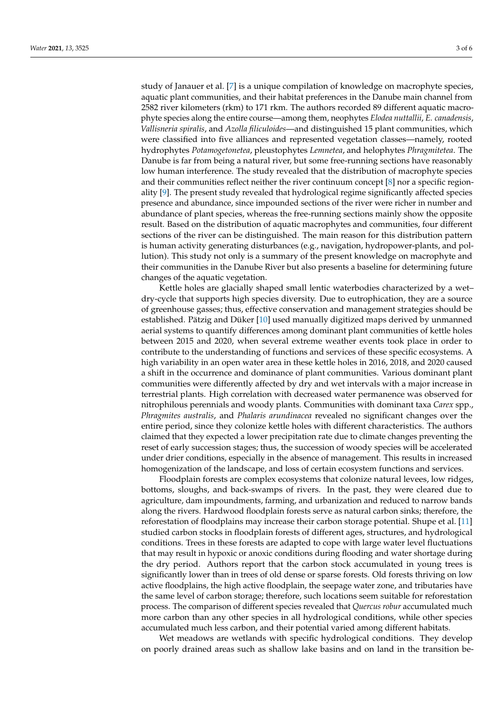study of Janauer et al. [\[7\]](#page-5-1) is a unique compilation of knowledge on macrophyte species, aquatic plant communities, and their habitat preferences in the Danube main channel from 2582 river kilometers (rkm) to 171 rkm. The authors recorded 89 different aquatic macrophyte species along the entire course—among them, neophytes *Elodea nuttallii*, *E. canadensis*, *Vallisneria spiralis*, and *Azolla filiculoides*—and distinguished 15 plant communities, which were classified into five alliances and represented vegetation classes—namely, rooted hydrophytes *Potamogetonetea*, pleustophytes *Lemnetea*, and helophytes *Phragmitetea*. The Danube is far from being a natural river, but some free-running sections have reasonably low human interference. The study revealed that the distribution of macrophyte species and their communities reflect neither the river continuum concept [\[8\]](#page-5-2) nor a specific regionality [\[9\]](#page-5-3). The present study revealed that hydrological regime significantly affected species presence and abundance, since impounded sections of the river were richer in number and abundance of plant species, whereas the free-running sections mainly show the opposite result. Based on the distribution of aquatic macrophytes and communities, four different sections of the river can be distinguished. The main reason for this distribution pattern is human activity generating disturbances (e.g., navigation, hydropower-plants, and pollution). This study not only is a summary of the present knowledge on macrophyte and their communities in the Danube River but also presents a baseline for determining future changes of the aquatic vegetation.

Kettle holes are glacially shaped small lentic waterbodies characterized by a wet– dry-cycle that supports high species diversity. Due to eutrophication, they are a source of greenhouse gasses; thus, effective conservation and management strategies should be established. Pätzig and Düker [\[10\]](#page-5-4) used manually digitized maps derived by unmanned aerial systems to quantify differences among dominant plant communities of kettle holes between 2015 and 2020, when several extreme weather events took place in order to contribute to the understanding of functions and services of these specific ecosystems. A high variability in an open water area in these kettle holes in 2016, 2018, and 2020 caused a shift in the occurrence and dominance of plant communities. Various dominant plant communities were differently affected by dry and wet intervals with a major increase in terrestrial plants. High correlation with decreased water permanence was observed for nitrophilous perennials and woody plants. Communities with dominant taxa *Carex* spp., *Phragmites australis*, and *Phalaris arundinacea* revealed no significant changes over the entire period, since they colonize kettle holes with different characteristics. The authors claimed that they expected a lower precipitation rate due to climate changes preventing the reset of early succession stages; thus, the succession of woody species will be accelerated under drier conditions, especially in the absence of management. This results in increased homogenization of the landscape, and loss of certain ecosystem functions and services.

Floodplain forests are complex ecosystems that colonize natural levees, low ridges, bottoms, sloughs, and back-swamps of rivers. In the past, they were cleared due to agriculture, dam impoundments, farming, and urbanization and reduced to narrow bands along the rivers. Hardwood floodplain forests serve as natural carbon sinks; therefore, the reforestation of floodplains may increase their carbon storage potential. Shupe et al. [\[11\]](#page-5-5) studied carbon stocks in floodplain forests of different ages, structures, and hydrological conditions. Trees in these forests are adapted to cope with large water level fluctuations that may result in hypoxic or anoxic conditions during flooding and water shortage during the dry period. Authors report that the carbon stock accumulated in young trees is significantly lower than in trees of old dense or sparse forests. Old forests thriving on low active floodplains, the high active floodplain, the seepage water zone, and tributaries have the same level of carbon storage; therefore, such locations seem suitable for reforestation process. The comparison of different species revealed that *Quercus robur* accumulated much more carbon than any other species in all hydrological conditions, while other species accumulated much less carbon, and their potential varied among different habitats.

Wet meadows are wetlands with specific hydrological conditions. They develop on poorly drained areas such as shallow lake basins and on land in the transition be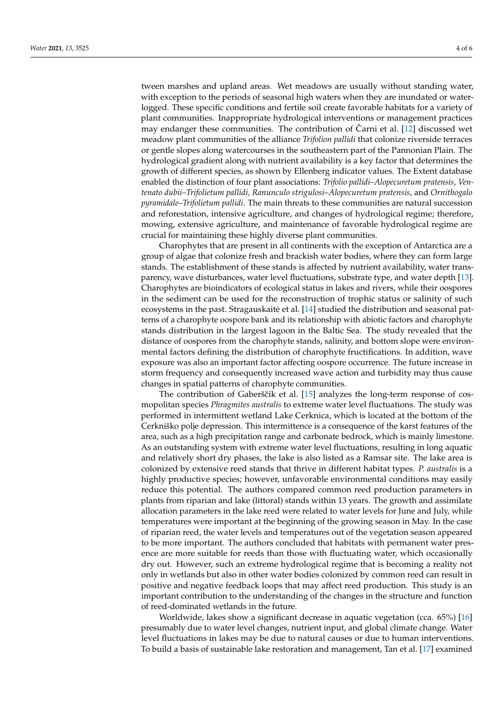tween marshes and upland areas. Wet meadows are usually without standing water, with exception to the periods of seasonal high waters when they are inundated or waterlogged. These specific conditions and fertile soil create favorable habitats for a variety of plant communities. Inappropriate hydrological interventions or management practices may endanger these communities. The contribution of Carni et al.  $[12]$  $[12]$  discussed wet meadow plant communities of the alliance *Trifolion pallidi* that colonize riverside terraces or gentle slopes along watercourses in the southeastern part of the Pannonian Plain. The hydrological gradient along with nutrient availability is a key factor that determines the growth of different species, as shown by Ellenberg indicator values. The Extent database enabled the distinction of four plant associations: *Trifolio pallidi–Alopecuretum pratensis*, *Ventenato dubii–Trifolietum pallidi, Ranunculo strigulosi–Alopecuretum pratensis*, and *Ornithogalo pyramidale–Trifolietum pallidi*. The main threats to these communities are natural succession and reforestation, intensive agriculture, and changes of hydrological regime; therefore, mowing, extensive agriculture, and maintenance of favorable hydrological regime are crucial for maintaining these highly diverse plant communities.

Charophytes that are present in all continents with the exception of Antarctica are a group of algae that colonize fresh and brackish water bodies, where they can form large stands. The establishment of these stands is affected by nutrient availability, water transparency, wave disturbances, water level fluctuations, substrate type, and water depth [\[13\]](#page-5-7). Charophytes are bioindicators of ecological status in lakes and rivers, while their oospores in the sediment can be used for the reconstruction of trophic status or salinity of such ecosystems in the past. Stragauskaite et al. [[14\]](#page-5-8) studied the distribution and seasonal patterns of a charophyte oospore bank and its relationship with abiotic factors and charophyte stands distribution in the largest lagoon in the Baltic Sea. The study revealed that the distance of oospores from the charophyte stands, salinity, and bottom slope were environmental factors defining the distribution of charophyte fructifications. In addition, wave exposure was also an important factor affecting oospore occurrence. The future increase in storm frequency and consequently increased wave action and turbidity may thus cause changes in spatial patterns of charophyte communities.

The contribution of Gaberščik et al. [\[15\]](#page-5-9) analyzes the long-term response of cosmopolitan species *Phragmites australis* to extreme water level fluctuations. The study was performed in intermittent wetland Lake Cerknica, which is located at the bottom of the Cerkniško polje depression. This intermittence is a consequence of the karst features of the area, such as a high precipitation range and carbonate bedrock, which is mainly limestone. As an outstanding system with extreme water level fluctuations, resulting in long aquatic and relatively short dry phases, the lake is also listed as a Ramsar site. The lake area is colonized by extensive reed stands that thrive in different habitat types. *P. australis* is a highly productive species; however, unfavorable environmental conditions may easily reduce this potential. The authors compared common reed production parameters in plants from riparian and lake (littoral) stands within 13 years. The growth and assimilate allocation parameters in the lake reed were related to water levels for June and July, while temperatures were important at the beginning of the growing season in May. In the case of riparian reed, the water levels and temperatures out of the vegetation season appeared to be more important. The authors concluded that habitats with permanent water presence are more suitable for reeds than those with fluctuating water, which occasionally dry out. However, such an extreme hydrological regime that is becoming a reality not only in wetlands but also in other water bodies colonized by common reed can result in positive and negative feedback loops that may affect reed production. This study is an important contribution to the understanding of the changes in the structure and function of reed-dominated wetlands in the future.

Worldwide, lakes show a significant decrease in aquatic vegetation (cca. 65%) [\[16\]](#page-5-10) presumably due to water level changes, nutrient input, and global climate change. Water level fluctuations in lakes may be due to natural causes or due to human interventions. To build a basis of sustainable lake restoration and management, Tan et al. [\[17\]](#page-5-11) examined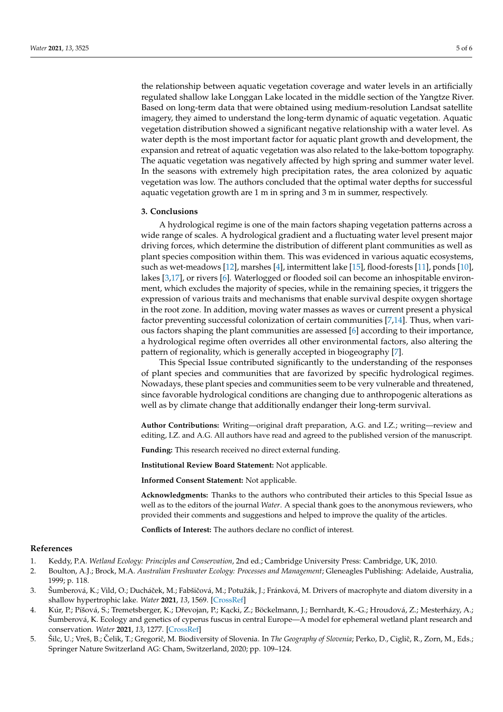the relationship between aquatic vegetation coverage and water levels in an artificially regulated shallow lake Longgan Lake located in the middle section of the Yangtze River. Based on long-term data that were obtained using medium-resolution Landsat satellite imagery, they aimed to understand the long-term dynamic of aquatic vegetation. Aquatic vegetation distribution showed a significant negative relationship with a water level. As water depth is the most important factor for aquatic plant growth and development, the expansion and retreat of aquatic vegetation was also related to the lake-bottom topography. The aquatic vegetation was negatively affected by high spring and summer water level. In the seasons with extremely high precipitation rates, the area colonized by aquatic vegetation was low. The authors concluded that the optimal water depths for successful aquatic vegetation growth are 1 m in spring and 3 m in summer, respectively.

## **3. Conclusions**

A hydrological regime is one of the main factors shaping vegetation patterns across a wide range of scales. A hydrological gradient and a fluctuating water level present major driving forces, which determine the distribution of different plant communities as well as plant species composition within them. This was evidenced in various aquatic ecosystems, such as wet-meadows [\[12\]](#page-5-6), marshes [\[4\]](#page-4-3), intermittent lake [\[15\]](#page-5-9), flood-forests [\[11\]](#page-5-5), ponds [\[10\]](#page-5-4), lakes [\[3,](#page-4-2)[17\]](#page-5-11), or rivers [\[6\]](#page-5-0). Waterlogged or flooded soil can become an inhospitable environment, which excludes the majority of species, while in the remaining species, it triggers the expression of various traits and mechanisms that enable survival despite oxygen shortage in the root zone. In addition, moving water masses as waves or current present a physical factor preventing successful colonization of certain communities [\[7](#page-5-1)[,14\]](#page-5-8). Thus, when various factors shaping the plant communities are assessed [\[6\]](#page-5-0) according to their importance, a hydrological regime often overrides all other environmental factors, also altering the pattern of regionality, which is generally accepted in biogeography [\[7\]](#page-5-1).

This Special Issue contributed significantly to the understanding of the responses of plant species and communities that are favorized by specific hydrological regimes. Nowadays, these plant species and communities seem to be very vulnerable and threatened, since favorable hydrological conditions are changing due to anthropogenic alterations as well as by climate change that additionally endanger their long-term survival.

**Author Contributions:** Writing—original draft preparation, A.G. and I.Z.; writing—review and editing, I.Z. and A.G. All authors have read and agreed to the published version of the manuscript.

**Funding:** This research received no direct external funding.

**Institutional Review Board Statement:** Not applicable.

**Informed Consent Statement:** Not applicable.

**Acknowledgments:** Thanks to the authors who contributed their articles to this Special Issue as well as to the editors of the journal *Water*. A special thank goes to the anonymous reviewers, who provided their comments and suggestions and helped to improve the quality of the articles.

**Conflicts of Interest:** The authors declare no conflict of interest.

## **References**

- <span id="page-4-0"></span>1. Keddy, P.A. *Wetland Ecology: Principles and Conservation*, 2nd ed.; Cambridge University Press: Cambridge, UK, 2010.
- <span id="page-4-1"></span>2. Boulton, A.J.; Brock, M.A. *Australian Freshwater Ecology: Processes and Management*; Gleneagles Publishing: Adelaide, Australia, 1999; p. 118.
- <span id="page-4-2"></span>3. Šumberová, K.; Vild, O.; Ducháček, M.; Fabšičová, M.; Potužák, J.; Fránková, M. Drivers of macrophyte and diatom diversity in a shallow hypertrophic lake. *Water* **2021**, *13*, 1569. [\[CrossRef\]](http://doi.org/10.3390/w13111569)
- <span id="page-4-3"></span>4. Kúr, P.; Píšová, S.; Tremetsberger, K.; Dřevojan, P.; Kącki, Z.; Böckelmann, J.; Bernhardt, K.-G.; Hroudová, Z.; Mesterházy, A.; Šumberová, K. Ecology and genetics of cyperus fuscus in central Europe—A model for ephemeral wetland plant research and conservation. *Water* **2021**, *13*, 1277. [\[CrossRef\]](http://doi.org/10.3390/w13091277)
- <span id="page-4-4"></span>5. Šilc, U.; Vreš, B.; Čelik, T.; Gregorič, M. Biodiversity of Slovenia. In *The Geography of Slovenia*; Perko, D., Ciglič, R., Zorn, M., Eds.; Springer Nature Switzerland AG: Cham, Switzerland, 2020; pp. 109–124.